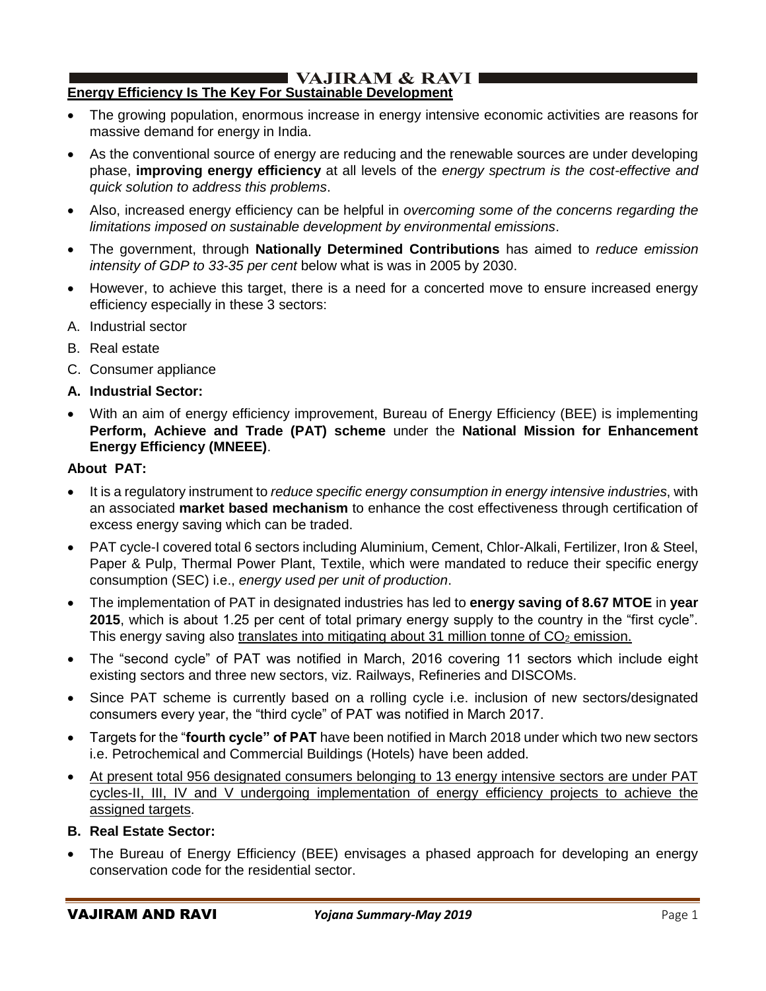#### I VAJIRAM & RAVI ∎ **Energy Efficiency Is The Key For Sustainable Development**

- The growing population, enormous increase in energy intensive economic activities are reasons for massive demand for energy in India.
- As the conventional source of energy are reducing and the renewable sources are under developing phase, **improving energy efficiency** at all levels of the *energy spectrum is the cost-effective and quick solution to address this problems*.
- Also, increased energy efficiency can be helpful in *overcoming some of the concerns regarding the limitations imposed on sustainable development by environmental emissions*.
- The government, through **Nationally Determined Contributions** has aimed to *reduce emission intensity of GDP to 33-35 per cent* below what is was in 2005 by 2030.
- However, to achieve this target, there is a need for a concerted move to ensure increased energy efficiency especially in these 3 sectors:
- A. Industrial sector
- B. Real estate
- C. Consumer appliance
- **A. Industrial Sector:**
- With an aim of energy efficiency improvement, Bureau of Energy Efficiency (BEE) is implementing **Perform, Achieve and Trade (PAT) scheme** under the **National Mission for Enhancement Energy Efficiency (MNEEE)**.

## **About PAT:**

- It is a regulatory instrument to *reduce specific energy consumption in energy intensive industries*, with an associated **market based mechanism** to enhance the cost effectiveness through certification of excess energy saving which can be traded.
- PAT cycle-I covered total 6 sectors including Aluminium, Cement, Chlor-Alkali, Fertilizer, Iron & Steel, Paper & Pulp, Thermal Power Plant, Textile, which were mandated to reduce their specific energy consumption (SEC) i.e., *energy used per unit of production*.
- The implementation of PAT in designated industries has led to **energy saving of 8.67 MTOE** in **year 2015**, which is about 1.25 per cent of total primary energy supply to the country in the "first cycle". This energy saving also translates into mitigating about 31 million tonne of  $CO<sub>2</sub>$  emission.
- The "second cycle" of PAT was notified in March, 2016 covering 11 sectors which include eight existing sectors and three new sectors, viz. Railways, Refineries and DISCOMs.
- Since PAT scheme is currently based on a rolling cycle i.e. inclusion of new sectors/designated consumers every year, the "third cycle" of PAT was notified in March 2017.
- Targets for the "**fourth cycle" of PAT** have been notified in March 2018 under which two new sectors i.e. Petrochemical and Commercial Buildings (Hotels) have been added.
- At present total 956 designated consumers belonging to 13 energy intensive sectors are under PAT cycles-II, III, IV and V undergoing implementation of energy efficiency projects to achieve the assigned targets.
- **B. Real Estate Sector:**
- The Bureau of Energy Efficiency (BEE) envisages a phased approach for developing an energy conservation code for the residential sector.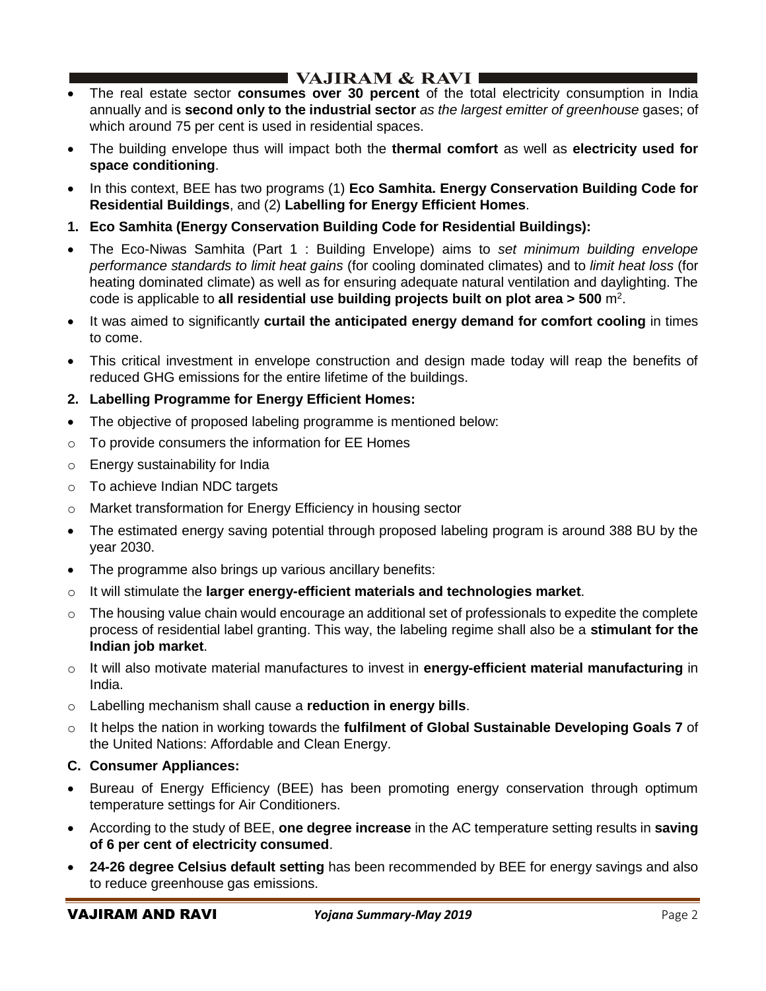# **I VAJIRAM & RAVI**  $\blacksquare$

- The real estate sector **consumes over 30 percent** of the total electricity consumption in India annually and is **second only to the industrial sector** *as the largest emitter of greenhouse* gases; of which around 75 per cent is used in residential spaces.
- The building envelope thus will impact both the **thermal comfort** as well as **electricity used for space conditioning**.
- In this context, BEE has two programs (1) **Eco Samhita. Energy Conservation Building Code for Residential Buildings**, and (2) **Labelling for Energy Efficient Homes**.
- **1. Eco Samhita (Energy Conservation Building Code for Residential Buildings):**
- The Eco-Niwas Samhita (Part 1 : Building Envelope) aims to *set minimum building envelope performance standards to limit heat gains* (for cooling dominated climates) and to *limit heat loss* (for heating dominated climate) as well as for ensuring adequate natural ventilation and daylighting. The code is applicable to all residential use building projects built on plot area > 500 m<sup>2</sup>.
- It was aimed to significantly **curtail the anticipated energy demand for comfort cooling** in times to come.
- This critical investment in envelope construction and design made today will reap the benefits of reduced GHG emissions for the entire lifetime of the buildings.
- **2. Labelling Programme for Energy Efficient Homes:**
- The objective of proposed labeling programme is mentioned below:
- o To provide consumers the information for EE Homes
- o Energy sustainability for India
- o To achieve Indian NDC targets
- o Market transformation for Energy Efficiency in housing sector
- The estimated energy saving potential through proposed labeling program is around 388 BU by the year 2030.
- The programme also brings up various ancillary benefits:
- o It will stimulate the **larger energy-efficient materials and technologies market**.
- o The housing value chain would encourage an additional set of professionals to expedite the complete process of residential label granting. This way, the labeling regime shall also be a **stimulant for the Indian job market**.
- o It will also motivate material manufactures to invest in **energy-efficient material manufacturing** in India.
- o Labelling mechanism shall cause a **reduction in energy bills**.
- o It helps the nation in working towards the **fulfilment of Global Sustainable Developing Goals 7** of the United Nations: Affordable and Clean Energy.
- **C. Consumer Appliances:**
- Bureau of Energy Efficiency (BEE) has been promoting energy conservation through optimum temperature settings for Air Conditioners.
- According to the study of BEE, **one degree increase** in the AC temperature setting results in **saving of 6 per cent of electricity consumed**.
- **24-26 degree Celsius default setting** has been recommended by BEE for energy savings and also to reduce greenhouse gas emissions.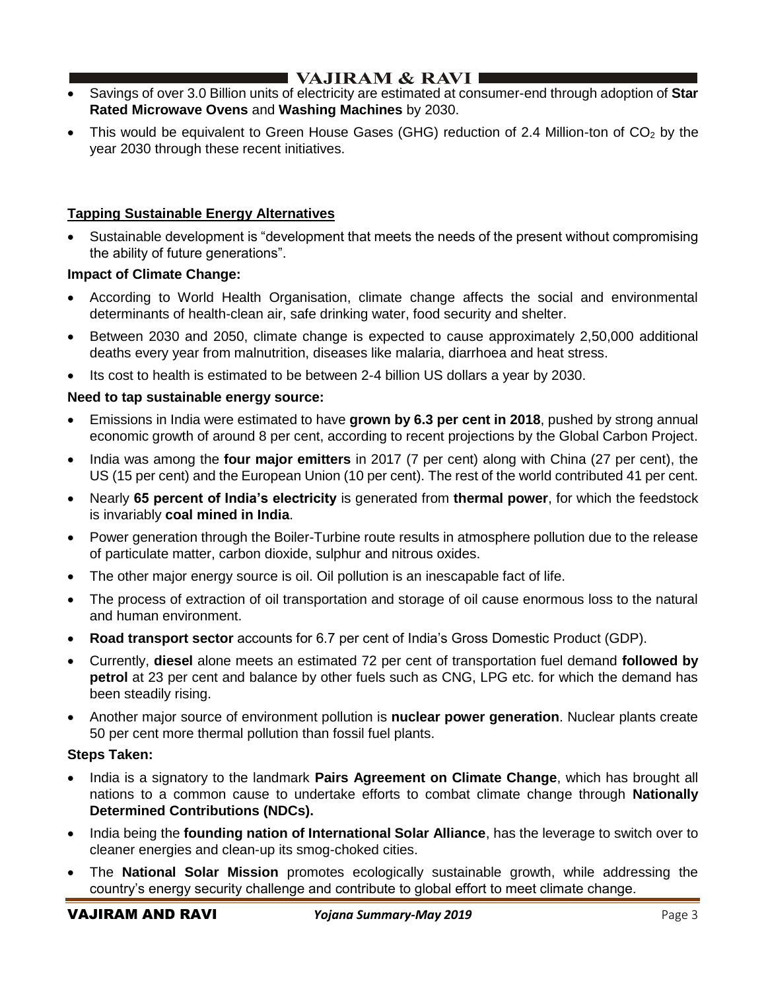# I VAJIRAM  $\&$  RAVI $\blacksquare$

- Savings of over 3.0 Billion units of electricity are estimated at consumer-end through adoption of **Star Rated Microwave Ovens** and **Washing Machines** by 2030.
- This would be equivalent to Green House Gases (GHG) reduction of 2.4 Million-ton of  $CO<sub>2</sub>$  by the year 2030 through these recent initiatives.

## **Tapping Sustainable Energy Alternatives**

• Sustainable development is "development that meets the needs of the present without compromising the ability of future generations".

## **Impact of Climate Change:**

- According to World Health Organisation, climate change affects the social and environmental determinants of health-clean air, safe drinking water, food security and shelter.
- Between 2030 and 2050, climate change is expected to cause approximately 2,50,000 additional deaths every year from malnutrition, diseases like malaria, diarrhoea and heat stress.
- Its cost to health is estimated to be between 2-4 billion US dollars a year by 2030.

## **Need to tap sustainable energy source:**

- Emissions in India were estimated to have **grown by 6.3 per cent in 2018**, pushed by strong annual economic growth of around 8 per cent, according to recent projections by the Global Carbon Project.
- India was among the **four major emitters** in 2017 (7 per cent) along with China (27 per cent), the US (15 per cent) and the European Union (10 per cent). The rest of the world contributed 41 per cent.
- Nearly **65 percent of India's electricity** is generated from **thermal power**, for which the feedstock is invariably **coal mined in India**.
- Power generation through the Boiler-Turbine route results in atmosphere pollution due to the release of particulate matter, carbon dioxide, sulphur and nitrous oxides.
- The other major energy source is oil. Oil pollution is an inescapable fact of life.
- The process of extraction of oil transportation and storage of oil cause enormous loss to the natural and human environment.
- **Road transport sector** accounts for 6.7 per cent of India's Gross Domestic Product (GDP).
- Currently, **diesel** alone meets an estimated 72 per cent of transportation fuel demand **followed by petrol** at 23 per cent and balance by other fuels such as CNG, LPG etc. for which the demand has been steadily rising.
- Another major source of environment pollution is **nuclear power generation**. Nuclear plants create 50 per cent more thermal pollution than fossil fuel plants.

### **Steps Taken:**

- India is a signatory to the landmark **Pairs Agreement on Climate Change**, which has brought all nations to a common cause to undertake efforts to combat climate change through **Nationally Determined Contributions (NDCs).**
- India being the **founding nation of International Solar Alliance**, has the leverage to switch over to cleaner energies and clean-up its smog-choked cities.
- The **National Solar Mission** promotes ecologically sustainable growth, while addressing the country's energy security challenge and contribute to global effort to meet climate change.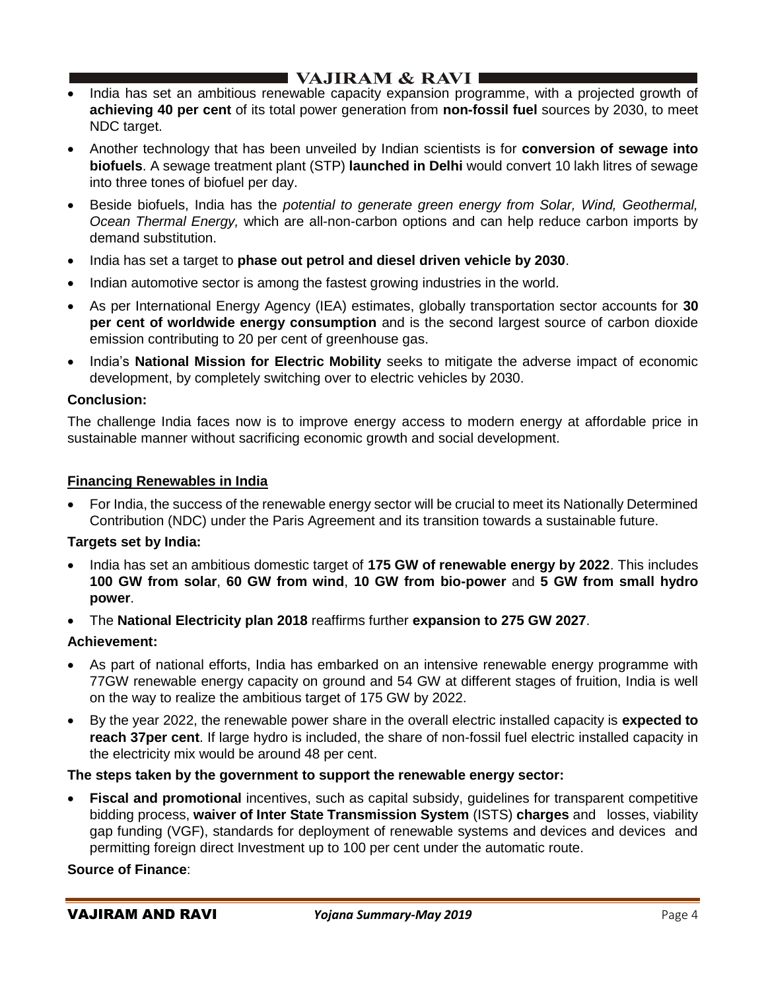# $\blacksquare$  VAJIRAM & RAVI

- India has set an ambitious renewable capacity expansion programme, with a projected growth of **achieving 40 per cent** of its total power generation from **non-fossil fuel** sources by 2030, to meet NDC target.
- Another technology that has been unveiled by Indian scientists is for **conversion of sewage into biofuels**. A sewage treatment plant (STP) **launched in Delhi** would convert 10 lakh litres of sewage into three tones of biofuel per day.
- Beside biofuels, India has the *potential to generate green energy from Solar, Wind, Geothermal, Ocean Thermal Energy,* which are all-non-carbon options and can help reduce carbon imports by demand substitution.
- India has set a target to **phase out petrol and diesel driven vehicle by 2030**.
- Indian automotive sector is among the fastest growing industries in the world.
- As per International Energy Agency (IEA) estimates, globally transportation sector accounts for **30 per cent of worldwide energy consumption** and is the second largest source of carbon dioxide emission contributing to 20 per cent of greenhouse gas.
- India's **National Mission for Electric Mobility** seeks to mitigate the adverse impact of economic development, by completely switching over to electric vehicles by 2030.

## **Conclusion:**

The challenge India faces now is to improve energy access to modern energy at affordable price in sustainable manner without sacrificing economic growth and social development.

### **Financing Renewables in India**

• For India, the success of the renewable energy sector will be crucial to meet its Nationally Determined Contribution (NDC) under the Paris Agreement and its transition towards a sustainable future.

### **Targets set by India:**

- India has set an ambitious domestic target of **175 GW of renewable energy by 2022**. This includes **100 GW from solar**, **60 GW from wind**, **10 GW from bio-power** and **5 GW from small hydro power**.
- The **National Electricity plan 2018** reaffirms further **expansion to 275 GW 2027**.

### **Achievement:**

- As part of national efforts, India has embarked on an intensive renewable energy programme with 77GW renewable energy capacity on ground and 54 GW at different stages of fruition, India is well on the way to realize the ambitious target of 175 GW by 2022.
- By the year 2022, the renewable power share in the overall electric installed capacity is **expected to reach 37per cent**. If large hydro is included, the share of non-fossil fuel electric installed capacity in the electricity mix would be around 48 per cent.

### **The steps taken by the government to support the renewable energy sector:**

**Fiscal and promotional** incentives, such as capital subsidy, guidelines for transparent competitive bidding process, **waiver of Inter State Transmission System** (ISTS) **charges** and losses, viability gap funding (VGF), standards for deployment of renewable systems and devices and devices and permitting foreign direct Investment up to 100 per cent under the automatic route.

### **Source of Finance**: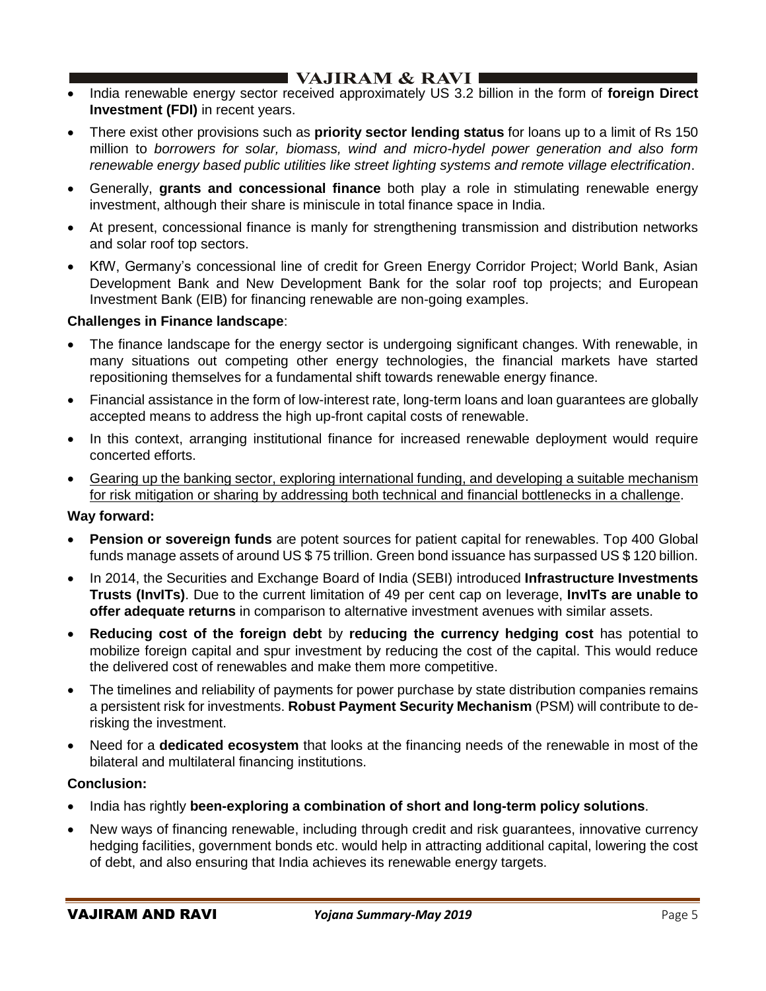- India renewable energy sector received approximately US 3.2 billion in the form of **foreign Direct Investment (FDI)** in recent years.
- There exist other provisions such as **priority sector lending status** for loans up to a limit of Rs 150 million to *borrowers for solar, biomass, wind and micro-hydel power generation and also form renewable energy based public utilities like street lighting systems and remote village electrification*.
- Generally, **grants and concessional finance** both play a role in stimulating renewable energy investment, although their share is miniscule in total finance space in India.
- At present, concessional finance is manly for strengthening transmission and distribution networks and solar roof top sectors.
- KfW, Germany's concessional line of credit for Green Energy Corridor Project; World Bank, Asian Development Bank and New Development Bank for the solar roof top projects; and European Investment Bank (EIB) for financing renewable are non-going examples.

## **Challenges in Finance landscape**:

- The finance landscape for the energy sector is undergoing significant changes. With renewable, in many situations out competing other energy technologies, the financial markets have started repositioning themselves for a fundamental shift towards renewable energy finance.
- Financial assistance in the form of low-interest rate, long-term loans and loan guarantees are globally accepted means to address the high up-front capital costs of renewable.
- In this context, arranging institutional finance for increased renewable deployment would require concerted efforts.
- Gearing up the banking sector, exploring international funding, and developing a suitable mechanism for risk mitigation or sharing by addressing both technical and financial bottlenecks in a challenge.

### **Way forward:**

- **Pension or sovereign funds** are potent sources for patient capital for renewables. Top 400 Global funds manage assets of around US \$ 75 trillion. Green bond issuance has surpassed US \$ 120 billion.
- In 2014, the Securities and Exchange Board of India (SEBI) introduced **Infrastructure Investments Trusts (InvITs)**. Due to the current limitation of 49 per cent cap on leverage, **InvITs are unable to offer adequate returns** in comparison to alternative investment avenues with similar assets.
- **Reducing cost of the foreign debt** by **reducing the currency hedging cost** has potential to mobilize foreign capital and spur investment by reducing the cost of the capital. This would reduce the delivered cost of renewables and make them more competitive.
- The timelines and reliability of payments for power purchase by state distribution companies remains a persistent risk for investments. **Robust Payment Security Mechanism** (PSM) will contribute to derisking the investment.
- Need for a **dedicated ecosystem** that looks at the financing needs of the renewable in most of the bilateral and multilateral financing institutions.

### **Conclusion:**

- India has rightly **been-exploring a combination of short and long-term policy solutions**.
- New ways of financing renewable, including through credit and risk guarantees, innovative currency hedging facilities, government bonds etc. would help in attracting additional capital, lowering the cost of debt, and also ensuring that India achieves its renewable energy targets.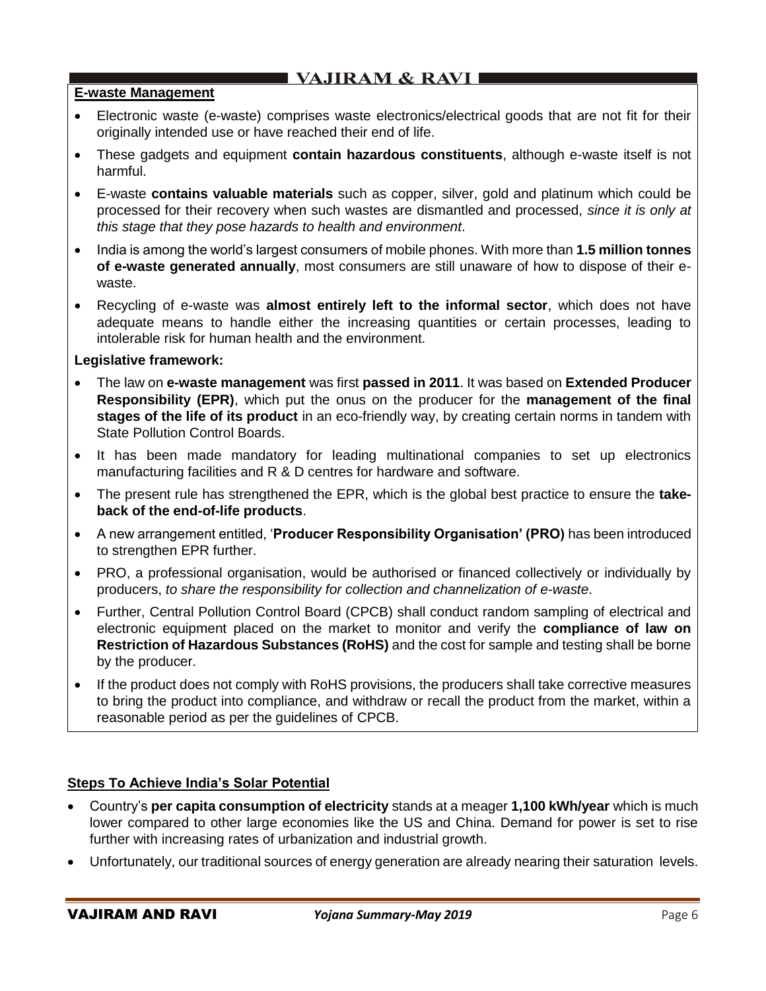## **E-waste Management**

- Electronic waste (e-waste) comprises waste electronics/electrical goods that are not fit for their originally intended use or have reached their end of life.
- These gadgets and equipment **contain hazardous constituents**, although e-waste itself is not harmful.
- E-waste **contains valuable materials** such as copper, silver, gold and platinum which could be processed for their recovery when such wastes are dismantled and processed, *since it is only at this stage that they pose hazards to health and environment*.
- India is among the world's largest consumers of mobile phones. With more than **1.5 million tonnes of e-waste generated annually**, most consumers are still unaware of how to dispose of their ewaste.
- Recycling of e-waste was **almost entirely left to the informal sector**, which does not have adequate means to handle either the increasing quantities or certain processes, leading to intolerable risk for human health and the environment.

### **Legislative framework:**

- The law on **e-waste management** was first **passed in 2011**. It was based on **Extended Producer Responsibility (EPR)**, which put the onus on the producer for the **management of the final stages of the life of its product** in an eco-friendly way, by creating certain norms in tandem with State Pollution Control Boards.
- It has been made mandatory for leading multinational companies to set up electronics manufacturing facilities and R & D centres for hardware and software.
- The present rule has strengthened the EPR, which is the global best practice to ensure the **takeback of the end-of-life products**.
- A new arrangement entitled, '**Producer Responsibility Organisation' (PRO)** has been introduced to strengthen EPR further.
- PRO, a professional organisation, would be authorised or financed collectively or individually by producers, *to share the responsibility for collection and channelization of e-waste*.
- Further, Central Pollution Control Board (CPCB) shall conduct random sampling of electrical and electronic equipment placed on the market to monitor and verify the **compliance of law on Restriction of Hazardous Substances (RoHS)** and the cost for sample and testing shall be borne by the producer.
- If the product does not comply with RoHS provisions, the producers shall take corrective measures to bring the product into compliance, and withdraw or recall the product from the market, within a reasonable period as per the guidelines of CPCB.

## **Steps To Achieve India's Solar Potential**

- Country's **per capita consumption of electricity** stands at a meager **1,100 kWh/year** which is much lower compared to other large economies like the US and China. Demand for power is set to rise further with increasing rates of urbanization and industrial growth.
- Unfortunately, our traditional sources of energy generation are already nearing their saturation levels.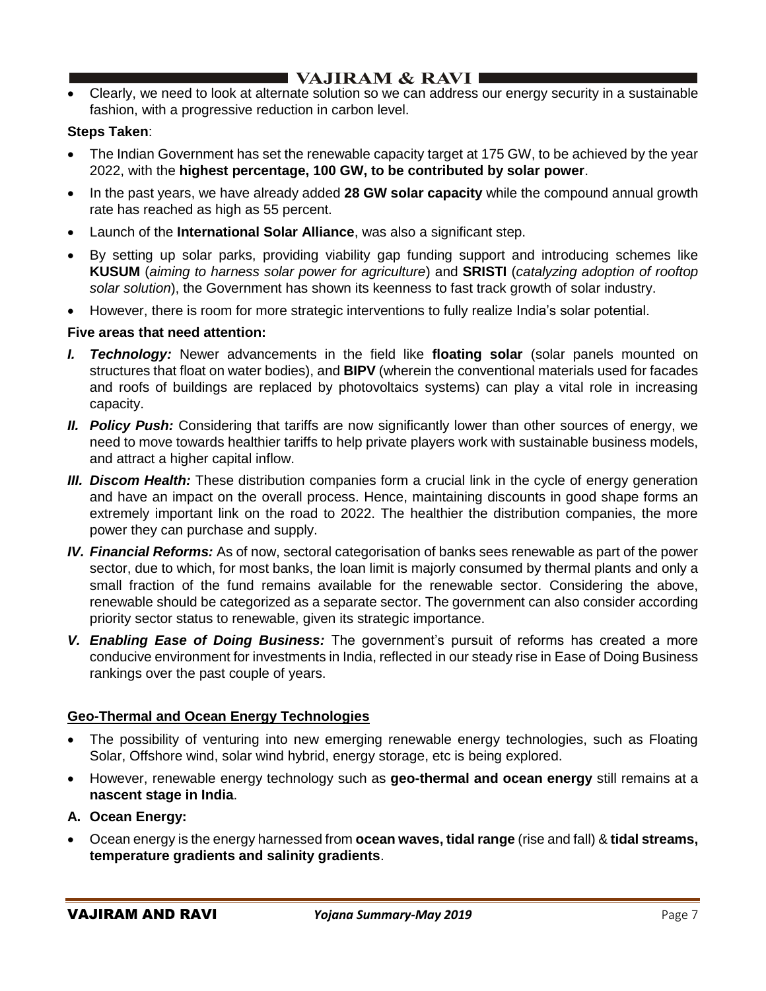• Clearly, we need to look at alternate solution so we can address our energy security in a sustainable fashion, with a progressive reduction in carbon level.

## **Steps Taken**:

- The Indian Government has set the renewable capacity target at 175 GW, to be achieved by the year 2022, with the **highest percentage, 100 GW, to be contributed by solar power**.
- In the past years, we have already added **28 GW solar capacity** while the compound annual growth rate has reached as high as 55 percent.
- Launch of the **International Solar Alliance**, was also a significant step.
- By setting up solar parks, providing viability gap funding support and introducing schemes like **KUSUM** (*aiming to harness solar power for agriculture*) and **SRISTI** (*catalyzing adoption of rooftop solar solution*), the Government has shown its keenness to fast track growth of solar industry.
- However, there is room for more strategic interventions to fully realize India's solar potential.

### **Five areas that need attention:**

- *I. Technology:* Newer advancements in the field like **floating solar** (solar panels mounted on structures that float on water bodies), and **BIPV** (wherein the conventional materials used for facades and roofs of buildings are replaced by photovoltaics systems) can play a vital role in increasing capacity.
- *II. Policy Push:* Considering that tariffs are now significantly lower than other sources of energy, we need to move towards healthier tariffs to help private players work with sustainable business models, and attract a higher capital inflow.
- *III. Discom Health:* These distribution companies form a crucial link in the cycle of energy generation and have an impact on the overall process. Hence, maintaining discounts in good shape forms an extremely important link on the road to 2022. The healthier the distribution companies, the more power they can purchase and supply.
- *IV. Financial Reforms:* As of now, sectoral categorisation of banks sees renewable as part of the power sector, due to which, for most banks, the loan limit is majorly consumed by thermal plants and only a small fraction of the fund remains available for the renewable sector. Considering the above, renewable should be categorized as a separate sector. The government can also consider according priority sector status to renewable, given its strategic importance.
- *V. Enabling Ease of Doing Business:* The government's pursuit of reforms has created a more conducive environment for investments in India, reflected in our steady rise in Ease of Doing Business rankings over the past couple of years.

### **Geo-Thermal and Ocean Energy Technologies**

- The possibility of venturing into new emerging renewable energy technologies, such as Floating Solar, Offshore wind, solar wind hybrid, energy storage, etc is being explored.
- However, renewable energy technology such as **geo-thermal and ocean energy** still remains at a **nascent stage in India**.
- **A. Ocean Energy:**
- Ocean energy is the energy harnessed from **ocean waves, tidal range** (rise and fall) & **tidal streams, temperature gradients and salinity gradients**.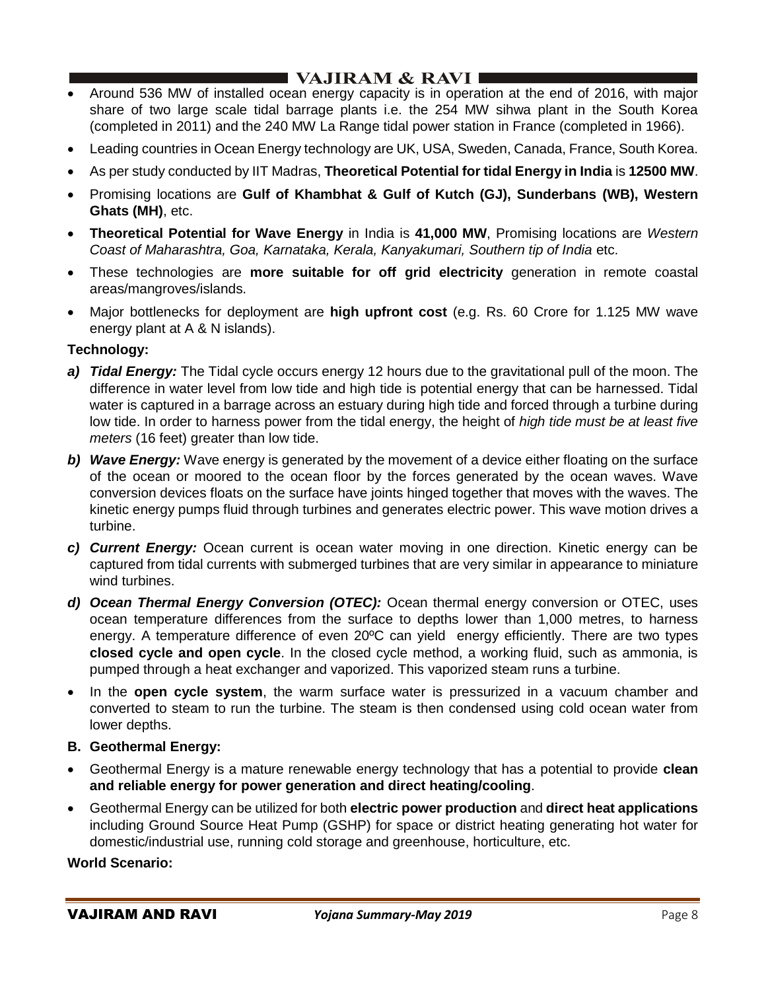# I VAJIRAM  $\&$  RAVI  $\blacksquare$

- Around 536 MW of installed ocean energy capacity is in operation at the end of 2016, with major share of two large scale tidal barrage plants i.e. the 254 MW sihwa plant in the South Korea (completed in 2011) and the 240 MW La Range tidal power station in France (completed in 1966).
- Leading countries in Ocean Energy technology are UK, USA, Sweden, Canada, France, South Korea.
- As per study conducted by IIT Madras, **Theoretical Potential for tidal Energy in India** is **12500 MW**.
- Promising locations are **Gulf of Khambhat & Gulf of Kutch (GJ), Sunderbans (WB), Western Ghats (MH)**, etc.
- **Theoretical Potential for Wave Energy** in India is **41,000 MW**, Promising locations are *Western Coast of Maharashtra, Goa, Karnataka, Kerala, Kanyakumari, Southern tip of India* etc.
- These technologies are **more suitable for off grid electricity** generation in remote coastal areas/mangroves/islands.
- Major bottlenecks for deployment are **high upfront cost** (e.g. Rs. 60 Crore for 1.125 MW wave energy plant at A & N islands).

### **Technology:**

- *a) Tidal Energy:* The Tidal cycle occurs energy 12 hours due to the gravitational pull of the moon. The difference in water level from low tide and high tide is potential energy that can be harnessed. Tidal water is captured in a barrage across an estuary during high tide and forced through a turbine during low tide. In order to harness power from the tidal energy, the height of *high tide must be at least five meters* (16 feet) greater than low tide.
- *b) Wave Energy:* Wave energy is generated by the movement of a device either floating on the surface of the ocean or moored to the ocean floor by the forces generated by the ocean waves. Wave conversion devices floats on the surface have joints hinged together that moves with the waves. The kinetic energy pumps fluid through turbines and generates electric power. This wave motion drives a turbine.
- *c) Current Energy:* Ocean current is ocean water moving in one direction. Kinetic energy can be captured from tidal currents with submerged turbines that are very similar in appearance to miniature wind turbines.
- *d) Ocean Thermal Energy Conversion (OTEC):* Ocean thermal energy conversion or OTEC, uses ocean temperature differences from the surface to depths lower than 1,000 metres, to harness energy. A temperature difference of even 20ºC can yield energy efficiently. There are two types **closed cycle and open cycle**. In the closed cycle method, a working fluid, such as ammonia, is pumped through a heat exchanger and vaporized. This vaporized steam runs a turbine.
- In the **open cycle system**, the warm surface water is pressurized in a vacuum chamber and converted to steam to run the turbine. The steam is then condensed using cold ocean water from lower depths.
- **B. Geothermal Energy:**
- Geothermal Energy is a mature renewable energy technology that has a potential to provide **clean and reliable energy for power generation and direct heating/cooling**.
- Geothermal Energy can be utilized for both **electric power production** and **direct heat applications** including Ground Source Heat Pump (GSHP) for space or district heating generating hot water for domestic/industrial use, running cold storage and greenhouse, horticulture, etc.

### **World Scenario:**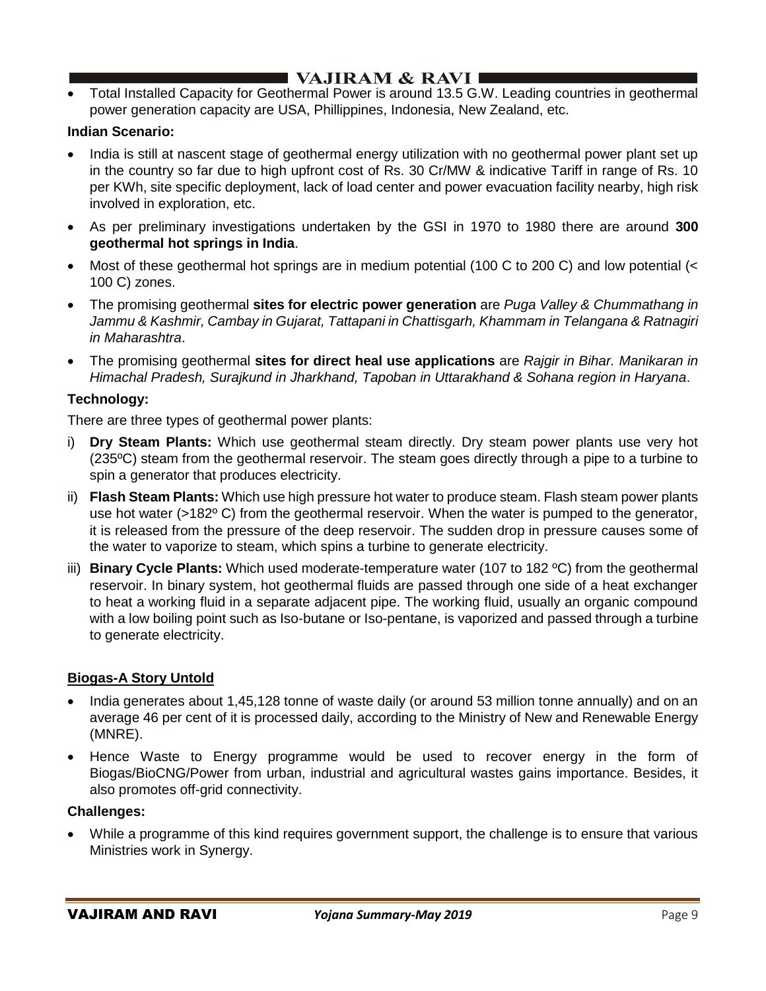# $\blacksquare$  VAJIRAM & RAVI

• Total Installed Capacity for Geothermal Power is around 13.5 G.W. Leading countries in geothermal power generation capacity are USA, Phillippines, Indonesia, New Zealand, etc.

## **Indian Scenario:**

- India is still at nascent stage of geothermal energy utilization with no geothermal power plant set up in the country so far due to high upfront cost of Rs. 30 Cr/MW & indicative Tariff in range of Rs. 10 per KWh, site specific deployment, lack of load center and power evacuation facility nearby, high risk involved in exploration, etc.
- As per preliminary investigations undertaken by the GSI in 1970 to 1980 there are around **300 geothermal hot springs in India**.
- Most of these geothermal hot springs are in medium potential (100 C to 200 C) and low potential (< 100 C) zones.
- The promising geothermal **sites for electric power generation** are *Puga Valley & Chummathang in Jammu & Kashmir, Cambay in Gujarat, Tattapani in Chattisgarh, Khammam in Telangana & Ratnagiri in Maharashtra*.
- The promising geothermal **sites for direct heal use applications** are *Rajgir in Bihar. Manikaran in Himachal Pradesh, Surajkund in Jharkhand, Tapoban in Uttarakhand & Sohana region in Haryana*.

## **Technology:**

There are three types of geothermal power plants:

- i) **Dry Steam Plants:** Which use geothermal steam directly. Dry steam power plants use very hot (235ºC) steam from the geothermal reservoir. The steam goes directly through a pipe to a turbine to spin a generator that produces electricity.
- ii) **Flash Steam Plants:** Which use high pressure hot water to produce steam. Flash steam power plants use hot water (>182º C) from the geothermal reservoir. When the water is pumped to the generator, it is released from the pressure of the deep reservoir. The sudden drop in pressure causes some of the water to vaporize to steam, which spins a turbine to generate electricity.
- iii) **Binary Cycle Plants:** Which used moderate-temperature water (107 to 182 ºC) from the geothermal reservoir. In binary system, hot geothermal fluids are passed through one side of a heat exchanger to heat a working fluid in a separate adjacent pipe. The working fluid, usually an organic compound with a low boiling point such as Iso-butane or Iso-pentane, is vaporized and passed through a turbine to generate electricity.

### **Biogas-A Story Untold**

- India generates about 1,45,128 tonne of waste daily (or around 53 million tonne annually) and on an average 46 per cent of it is processed daily, according to the Ministry of New and Renewable Energy (MNRE).
- Hence Waste to Energy programme would be used to recover energy in the form of Biogas/BioCNG/Power from urban, industrial and agricultural wastes gains importance. Besides, it also promotes off-grid connectivity.

### **Challenges:**

• While a programme of this kind requires government support, the challenge is to ensure that various Ministries work in Synergy.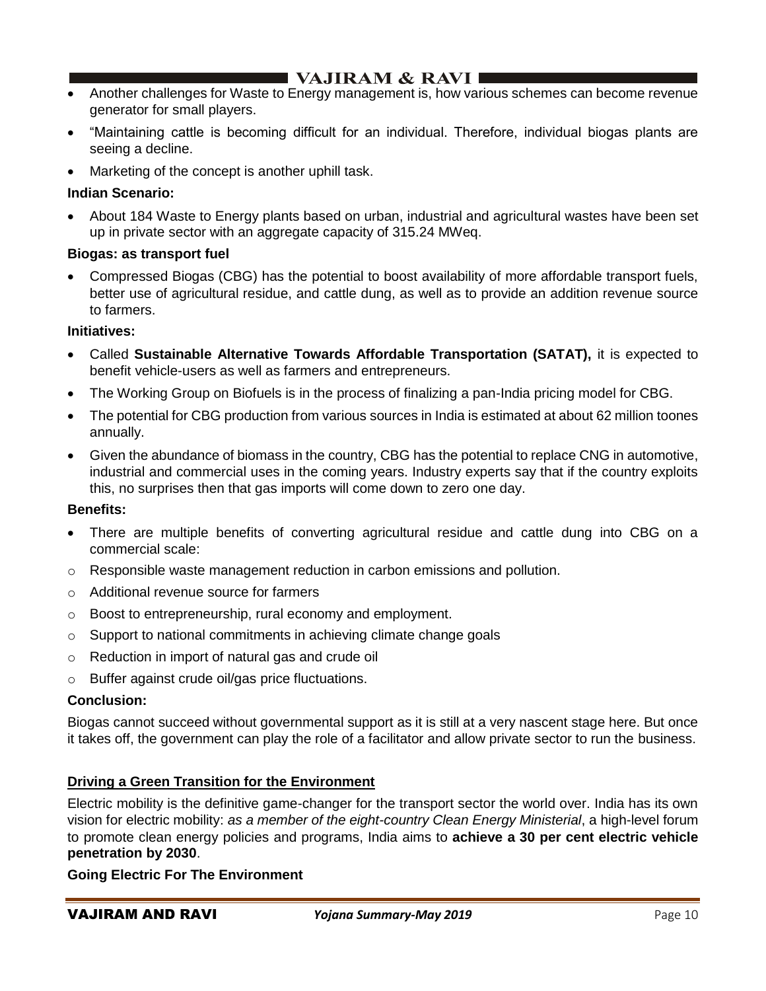- Another challenges for Waste to Energy management is, how various schemes can become revenue generator for small players.
- "Maintaining cattle is becoming difficult for an individual. Therefore, individual biogas plants are seeing a decline.
- Marketing of the concept is another uphill task.

### **Indian Scenario:**

• About 184 Waste to Energy plants based on urban, industrial and agricultural wastes have been set up in private sector with an aggregate capacity of 315.24 MWeq.

### **Biogas: as transport fuel**

• Compressed Biogas (CBG) has the potential to boost availability of more affordable transport fuels, better use of agricultural residue, and cattle dung, as well as to provide an addition revenue source to farmers.

#### **Initiatives:**

- Called **Sustainable Alternative Towards Affordable Transportation (SATAT),** it is expected to benefit vehicle-users as well as farmers and entrepreneurs.
- The Working Group on Biofuels is in the process of finalizing a pan-India pricing model for CBG.
- The potential for CBG production from various sources in India is estimated at about 62 million toones annually.
- Given the abundance of biomass in the country, CBG has the potential to replace CNG in automotive, industrial and commercial uses in the coming years. Industry experts say that if the country exploits this, no surprises then that gas imports will come down to zero one day.

#### **Benefits:**

- There are multiple benefits of converting agricultural residue and cattle dung into CBG on a commercial scale:
- $\circ$  Responsible waste management reduction in carbon emissions and pollution.
- o Additional revenue source for farmers
- o Boost to entrepreneurship, rural economy and employment.
- o Support to national commitments in achieving climate change goals
- o Reduction in import of natural gas and crude oil
- o Buffer against crude oil/gas price fluctuations.

#### **Conclusion:**

Biogas cannot succeed without governmental support as it is still at a very nascent stage here. But once it takes off, the government can play the role of a facilitator and allow private sector to run the business.

### **Driving a Green Transition for the Environment**

Electric mobility is the definitive game-changer for the transport sector the world over. India has its own vision for electric mobility: *as a member of the eight-country Clean Energy Ministerial*, a high-level forum to promote clean energy policies and programs, India aims to **achieve a 30 per cent electric vehicle penetration by 2030**.

#### **Going Electric For The Environment**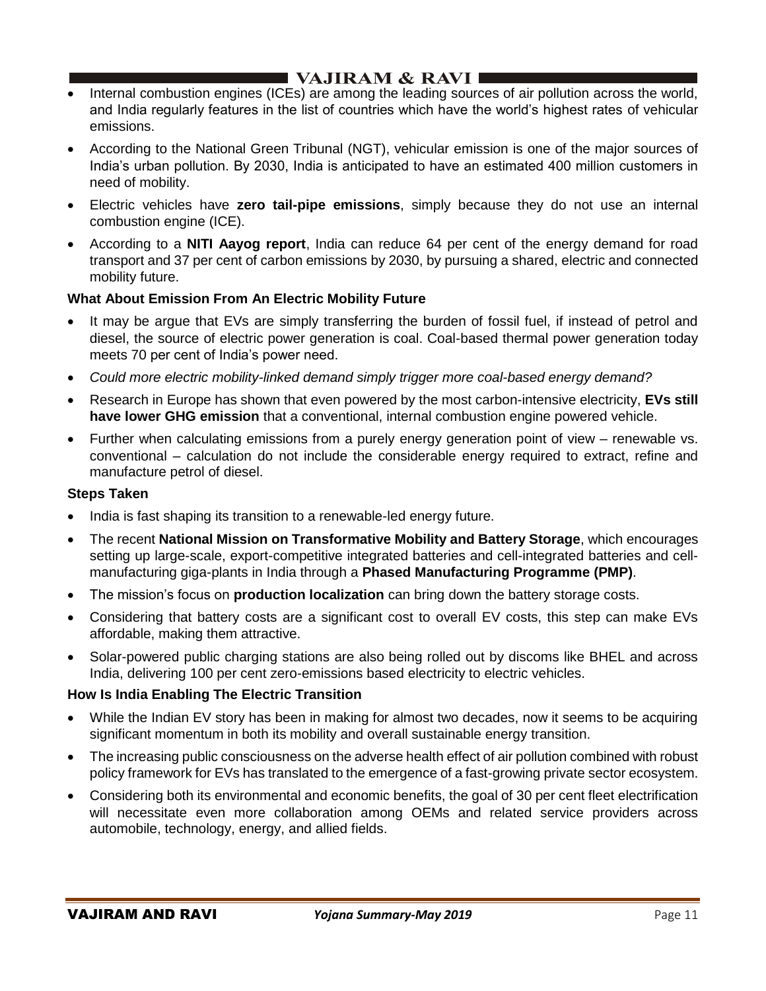## I VAJIRAM & RAVI ■

- Internal combustion engines (ICEs) are among the leading sources of air pollution across the world, and India regularly features in the list of countries which have the world's highest rates of vehicular emissions.
- According to the National Green Tribunal (NGT), vehicular emission is one of the major sources of India's urban pollution. By 2030, India is anticipated to have an estimated 400 million customers in need of mobility.
- Electric vehicles have **zero tail-pipe emissions**, simply because they do not use an internal combustion engine (ICE).
- According to a **NITI Aayog report**, India can reduce 64 per cent of the energy demand for road transport and 37 per cent of carbon emissions by 2030, by pursuing a shared, electric and connected mobility future.

### **What About Emission From An Electric Mobility Future**

- It may be argue that EVs are simply transferring the burden of fossil fuel, if instead of petrol and diesel, the source of electric power generation is coal. Coal-based thermal power generation today meets 70 per cent of India's power need.
- *Could more electric mobility-linked demand simply trigger more coal-based energy demand?*
- Research in Europe has shown that even powered by the most carbon-intensive electricity, **EVs still have lower GHG emission** that a conventional, internal combustion engine powered vehicle.
- Further when calculating emissions from a purely energy generation point of view renewable vs. conventional – calculation do not include the considerable energy required to extract, refine and manufacture petrol of diesel.

#### **Steps Taken**

- India is fast shaping its transition to a renewable-led energy future.
- The recent **National Mission on Transformative Mobility and Battery Storage**, which encourages setting up large-scale, export-competitive integrated batteries and cell-integrated batteries and cellmanufacturing giga-plants in India through a **Phased Manufacturing Programme (PMP)**.
- The mission's focus on **production localization** can bring down the battery storage costs.
- Considering that battery costs are a significant cost to overall EV costs, this step can make EVs affordable, making them attractive.
- Solar-powered public charging stations are also being rolled out by discoms like BHEL and across India, delivering 100 per cent zero-emissions based electricity to electric vehicles.

### **How Is India Enabling The Electric Transition**

- While the Indian EV story has been in making for almost two decades, now it seems to be acquiring significant momentum in both its mobility and overall sustainable energy transition.
- The increasing public consciousness on the adverse health effect of air pollution combined with robust policy framework for EVs has translated to the emergence of a fast-growing private sector ecosystem.
- Considering both its environmental and economic benefits, the goal of 30 per cent fleet electrification will necessitate even more collaboration among OEMs and related service providers across automobile, technology, energy, and allied fields.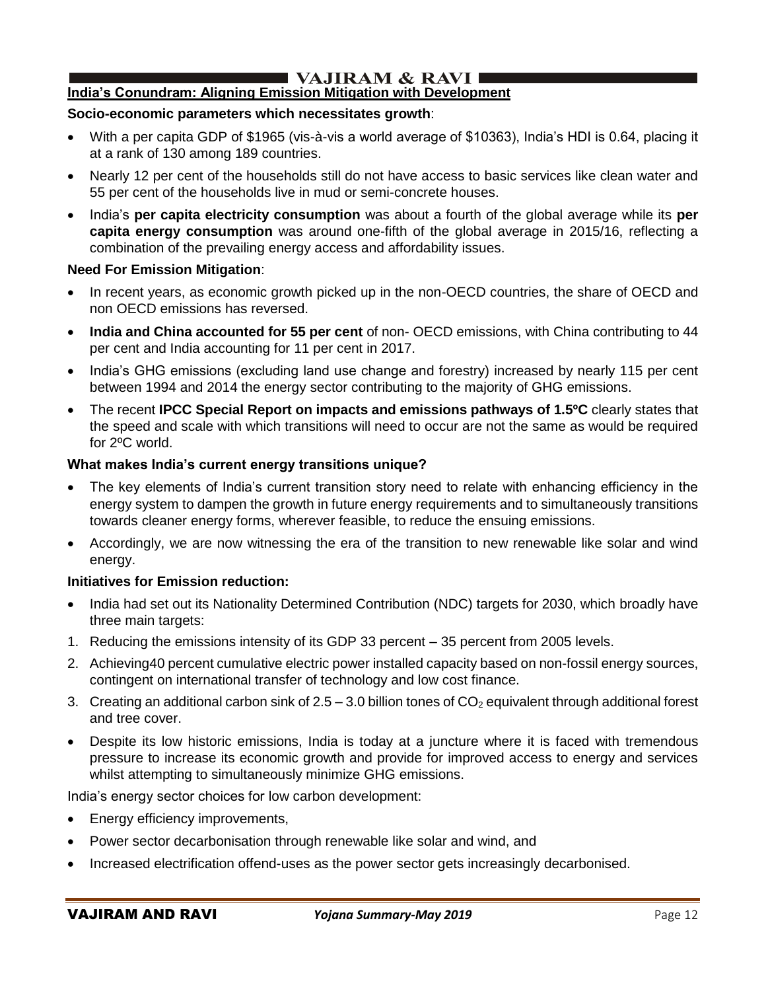# I VAJIRAM & RAVI ∎

## **India's Conundram: Aligning Emission Mitigation with Development**

#### **Socio-economic parameters which necessitates growth**:

- With a per capita GDP of \$1965 (vis-à-vis a world average of \$10363), India's HDI is 0.64, placing it at a rank of 130 among 189 countries.
- Nearly 12 per cent of the households still do not have access to basic services like clean water and 55 per cent of the households live in mud or semi-concrete houses.
- India's **per capita electricity consumption** was about a fourth of the global average while its **per capita energy consumption** was around one-fifth of the global average in 2015/16, reflecting a combination of the prevailing energy access and affordability issues.

#### **Need For Emission Mitigation**:

- In recent years, as economic growth picked up in the non-OECD countries, the share of OECD and non OECD emissions has reversed.
- **India and China accounted for 55 per cent** of non- OECD emissions, with China contributing to 44 per cent and India accounting for 11 per cent in 2017.
- India's GHG emissions (excluding land use change and forestry) increased by nearly 115 per cent between 1994 and 2014 the energy sector contributing to the majority of GHG emissions.
- The recent **IPCC Special Report on impacts and emissions pathways of 1.5ºC** clearly states that the speed and scale with which transitions will need to occur are not the same as would be required for 2ºC world.

#### **What makes India's current energy transitions unique?**

- The key elements of India's current transition story need to relate with enhancing efficiency in the energy system to dampen the growth in future energy requirements and to simultaneously transitions towards cleaner energy forms, wherever feasible, to reduce the ensuing emissions.
- Accordingly, we are now witnessing the era of the transition to new renewable like solar and wind energy.

#### **Initiatives for Emission reduction:**

- India had set out its Nationality Determined Contribution (NDC) targets for 2030, which broadly have three main targets:
- 1. Reducing the emissions intensity of its GDP 33 percent 35 percent from 2005 levels.
- 2. Achieving40 percent cumulative electric power installed capacity based on non-fossil energy sources, contingent on international transfer of technology and low cost finance.
- 3. Creating an additional carbon sink of  $2.5 3.0$  billion tones of  $CO<sub>2</sub>$  equivalent through additional forest and tree cover.
- Despite its low historic emissions, India is today at a juncture where it is faced with tremendous pressure to increase its economic growth and provide for improved access to energy and services whilst attempting to simultaneously minimize GHG emissions.

India's energy sector choices for low carbon development:

- Energy efficiency improvements,
- Power sector decarbonisation through renewable like solar and wind, and
- Increased electrification offend-uses as the power sector gets increasingly decarbonised.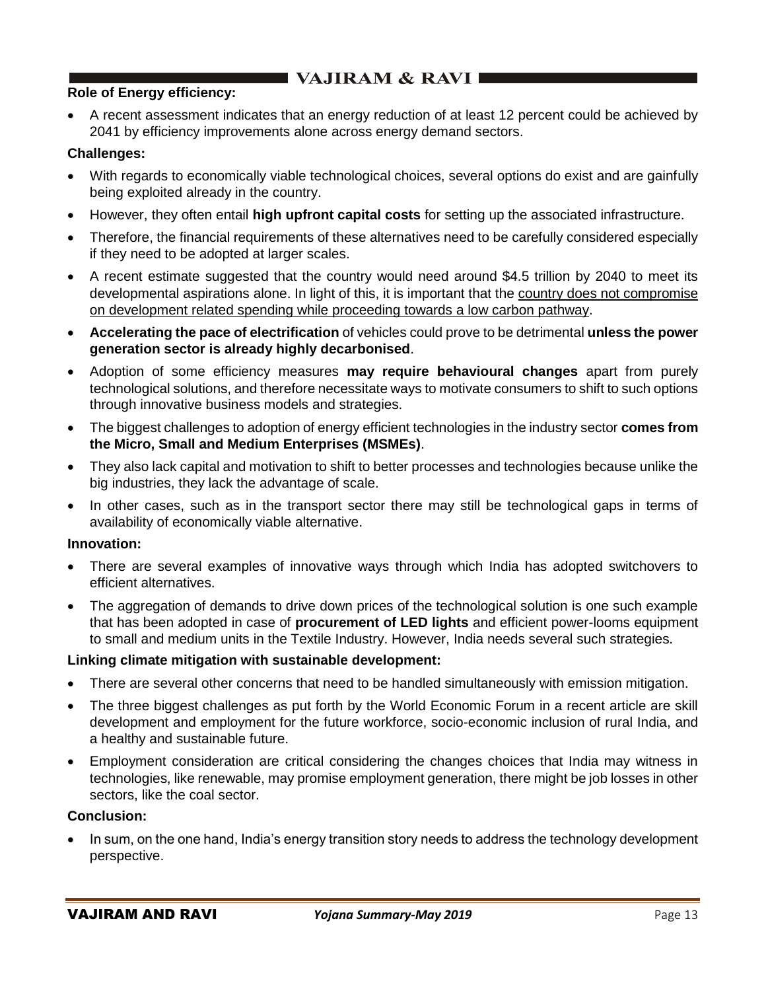## **Role of Energy efficiency:**

• A recent assessment indicates that an energy reduction of at least 12 percent could be achieved by 2041 by efficiency improvements alone across energy demand sectors.

### **Challenges:**

- With regards to economically viable technological choices, several options do exist and are gainfully being exploited already in the country.
- However, they often entail **high upfront capital costs** for setting up the associated infrastructure.
- Therefore, the financial requirements of these alternatives need to be carefully considered especially if they need to be adopted at larger scales.
- A recent estimate suggested that the country would need around \$4.5 trillion by 2040 to meet its developmental aspirations alone. In light of this, it is important that the country does not compromise on development related spending while proceeding towards a low carbon pathway.
- **Accelerating the pace of electrification** of vehicles could prove to be detrimental **unless the power generation sector is already highly decarbonised**.
- Adoption of some efficiency measures **may require behavioural changes** apart from purely technological solutions, and therefore necessitate ways to motivate consumers to shift to such options through innovative business models and strategies.
- The biggest challenges to adoption of energy efficient technologies in the industry sector **comes from the Micro, Small and Medium Enterprises (MSMEs)**.
- They also lack capital and motivation to shift to better processes and technologies because unlike the big industries, they lack the advantage of scale.
- In other cases, such as in the transport sector there may still be technological gaps in terms of availability of economically viable alternative.

### **Innovation:**

- There are several examples of innovative ways through which India has adopted switchovers to efficient alternatives.
- The aggregation of demands to drive down prices of the technological solution is one such example that has been adopted in case of **procurement of LED lights** and efficient power-looms equipment to small and medium units in the Textile Industry. However, India needs several such strategies.

### **Linking climate mitigation with sustainable development:**

- There are several other concerns that need to be handled simultaneously with emission mitigation.
- The three biggest challenges as put forth by the World Economic Forum in a recent article are skill development and employment for the future workforce, socio-economic inclusion of rural India, and a healthy and sustainable future.
- Employment consideration are critical considering the changes choices that India may witness in technologies, like renewable, may promise employment generation, there might be job losses in other sectors, like the coal sector.

### **Conclusion:**

• In sum, on the one hand, India's energy transition story needs to address the technology development perspective.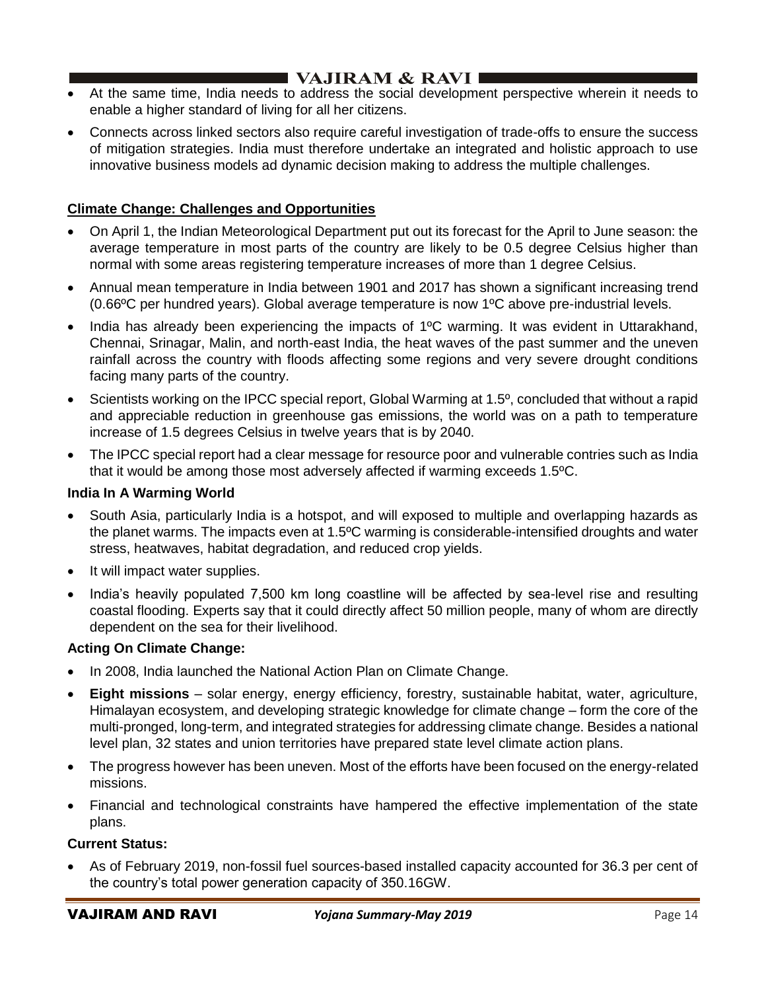# I VAJIRAM  $\&$  RAVI $\blacksquare$

- At the same time, India needs to address the social development perspective wherein it needs to enable a higher standard of living for all her citizens.
- Connects across linked sectors also require careful investigation of trade-offs to ensure the success of mitigation strategies. India must therefore undertake an integrated and holistic approach to use innovative business models ad dynamic decision making to address the multiple challenges.

## **Climate Change: Challenges and Opportunities**

- On April 1, the Indian Meteorological Department put out its forecast for the April to June season: the average temperature in most parts of the country are likely to be 0.5 degree Celsius higher than normal with some areas registering temperature increases of more than 1 degree Celsius.
- Annual mean temperature in India between 1901 and 2017 has shown a significant increasing trend (0.66ºC per hundred years). Global average temperature is now 1ºC above pre-industrial levels.
- India has already been experiencing the impacts of 1ºC warming. It was evident in Uttarakhand, Chennai, Srinagar, Malin, and north-east India, the heat waves of the past summer and the uneven rainfall across the country with floods affecting some regions and very severe drought conditions facing many parts of the country.
- Scientists working on the IPCC special report, Global Warming at 1.5º, concluded that without a rapid and appreciable reduction in greenhouse gas emissions, the world was on a path to temperature increase of 1.5 degrees Celsius in twelve years that is by 2040.
- The IPCC special report had a clear message for resource poor and vulnerable contries such as India that it would be among those most adversely affected if warming exceeds 1.5ºC.

### **India In A Warming World**

- South Asia, particularly India is a hotspot, and will exposed to multiple and overlapping hazards as the planet warms. The impacts even at 1.5ºC warming is considerable-intensified droughts and water stress, heatwaves, habitat degradation, and reduced crop yields.
- It will impact water supplies.
- India's heavily populated 7,500 km long coastline will be affected by sea-level rise and resulting coastal flooding. Experts say that it could directly affect 50 million people, many of whom are directly dependent on the sea for their livelihood.

## **Acting On Climate Change:**

- In 2008, India launched the National Action Plan on Climate Change.
- **Eight missions** solar energy, energy efficiency, forestry, sustainable habitat, water, agriculture, Himalayan ecosystem, and developing strategic knowledge for climate change – form the core of the multi-pronged, long-term, and integrated strategies for addressing climate change. Besides a national level plan, 32 states and union territories have prepared state level climate action plans.
- The progress however has been uneven. Most of the efforts have been focused on the energy-related missions.
- Financial and technological constraints have hampered the effective implementation of the state plans.

### **Current Status:**

• As of February 2019, non-fossil fuel sources-based installed capacity accounted for 36.3 per cent of the country's total power generation capacity of 350.16GW.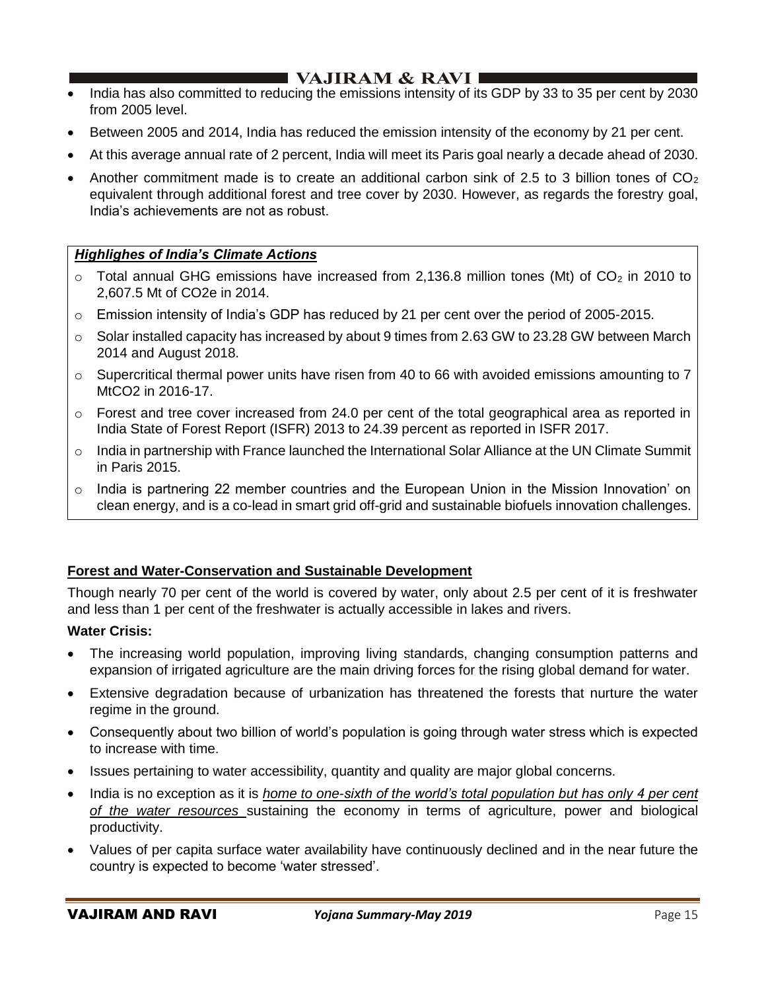# I VAJIRAM & RAVI ∎

- India has also committed to reducing the emissions intensity of its GDP by 33 to 35 per cent by 2030 from 2005 level.
- Between 2005 and 2014, India has reduced the emission intensity of the economy by 21 per cent.
- At this average annual rate of 2 percent, India will meet its Paris goal nearly a decade ahead of 2030.
- Another commitment made is to create an additional carbon sink of 2.5 to 3 billion tones of  $CO<sub>2</sub>$ equivalent through additional forest and tree cover by 2030. However, as regards the forestry goal, India's achievements are not as robust.

### *Highlighes of India's Climate Actions*

- $\circ$  Total annual GHG emissions have increased from 2,136.8 million tones (Mt) of CO<sub>2</sub> in 2010 to 2,607.5 Mt of CO2e in 2014.
- $\circ$  Emission intensity of India's GDP has reduced by 21 per cent over the period of 2005-2015.
- $\circ$  Solar installed capacity has increased by about 9 times from 2.63 GW to 23.28 GW between March 2014 and August 2018.
- $\circ$  Supercritical thermal power units have risen from 40 to 66 with avoided emissions amounting to 7 MtCO2 in 2016-17.
- $\circ$  Forest and tree cover increased from 24.0 per cent of the total geographical area as reported in India State of Forest Report (ISFR) 2013 to 24.39 percent as reported in ISFR 2017.
- $\circ$  India in partnership with France launched the International Solar Alliance at the UN Climate Summit in Paris 2015.
- $\circ$  India is partnering 22 member countries and the European Union in the Mission Innovation' on clean energy, and is a co-lead in smart grid off-grid and sustainable biofuels innovation challenges.

## **Forest and Water-Conservation and Sustainable Development**

Though nearly 70 per cent of the world is covered by water, only about 2.5 per cent of it is freshwater and less than 1 per cent of the freshwater is actually accessible in lakes and rivers.

### **Water Crisis:**

- The increasing world population, improving living standards, changing consumption patterns and expansion of irrigated agriculture are the main driving forces for the rising global demand for water.
- Extensive degradation because of urbanization has threatened the forests that nurture the water regime in the ground.
- Consequently about two billion of world's population is going through water stress which is expected to increase with time.
- Issues pertaining to water accessibility, quantity and quality are major global concerns.
- India is no exception as it is *home to one-sixth of the world's total population but has only 4 per cent of the water resources* sustaining the economy in terms of agriculture, power and biological productivity.
- Values of per capita surface water availability have continuously declined and in the near future the country is expected to become 'water stressed'.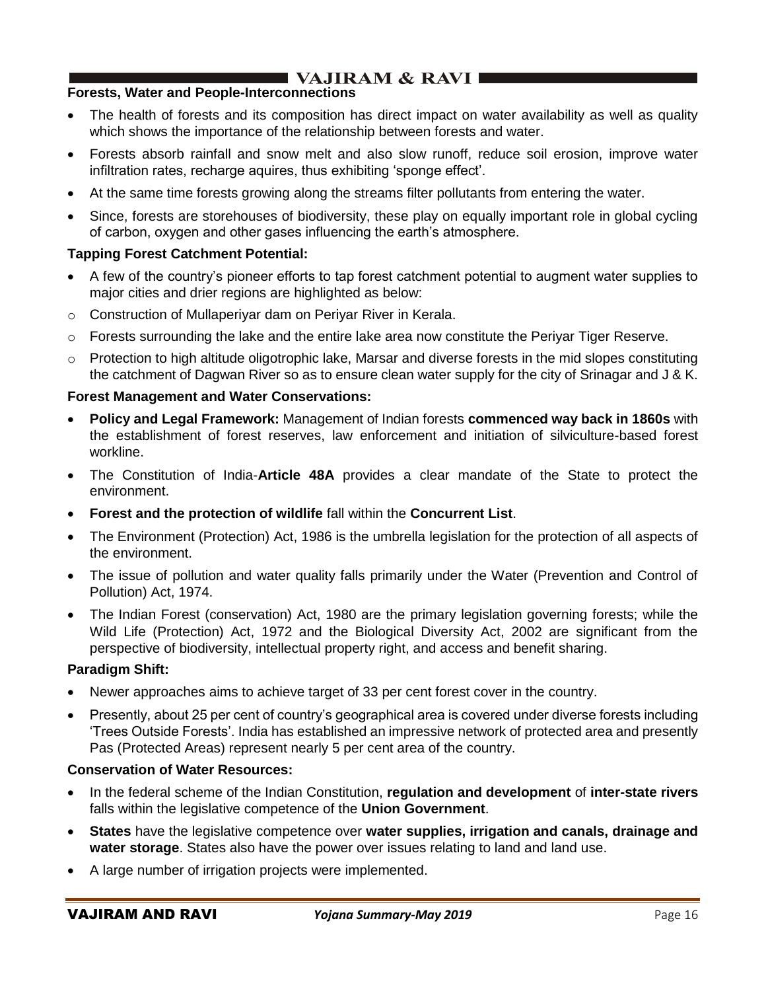# VAJIRAM & RAVI

## **Forests, Water and People-Interconnections**

- The health of forests and its composition has direct impact on water availability as well as quality which shows the importance of the relationship between forests and water.
- Forests absorb rainfall and snow melt and also slow runoff, reduce soil erosion, improve water infiltration rates, recharge aquires, thus exhibiting 'sponge effect'.
- At the same time forests growing along the streams filter pollutants from entering the water.
- Since, forests are storehouses of biodiversity, these play on equally important role in global cycling of carbon, oxygen and other gases influencing the earth's atmosphere.

## **Tapping Forest Catchment Potential:**

- A few of the country's pioneer efforts to tap forest catchment potential to augment water supplies to major cities and drier regions are highlighted as below:
- o Construction of Mullaperiyar dam on Periyar River in Kerala.
- $\circ$  Forests surrounding the lake and the entire lake area now constitute the Periyar Tiger Reserve.
- $\circ$  Protection to high altitude oligotrophic lake, Marsar and diverse forests in the mid slopes constituting the catchment of Dagwan River so as to ensure clean water supply for the city of Srinagar and J & K.

## **Forest Management and Water Conservations:**

- **Policy and Legal Framework:** Management of Indian forests **commenced way back in 1860s** with the establishment of forest reserves, law enforcement and initiation of silviculture-based forest workline.
- The Constitution of India-**Article 48A** provides a clear mandate of the State to protect the environment.
- **Forest and the protection of wildlife** fall within the **Concurrent List**.
- The Environment (Protection) Act, 1986 is the umbrella legislation for the protection of all aspects of the environment.
- The issue of pollution and water quality falls primarily under the Water (Prevention and Control of Pollution) Act, 1974.
- The Indian Forest (conservation) Act, 1980 are the primary legislation governing forests; while the Wild Life (Protection) Act, 1972 and the Biological Diversity Act, 2002 are significant from the perspective of biodiversity, intellectual property right, and access and benefit sharing.

## **Paradigm Shift:**

- Newer approaches aims to achieve target of 33 per cent forest cover in the country.
- Presently, about 25 per cent of country's geographical area is covered under diverse forests including 'Trees Outside Forests'. India has established an impressive network of protected area and presently Pas (Protected Areas) represent nearly 5 per cent area of the country.

### **Conservation of Water Resources:**

- In the federal scheme of the Indian Constitution, **regulation and development** of **inter-state rivers** falls within the legislative competence of the **Union Government**.
- **States** have the legislative competence over **water supplies, irrigation and canals, drainage and water storage**. States also have the power over issues relating to land and land use.
- A large number of irrigation projects were implemented.